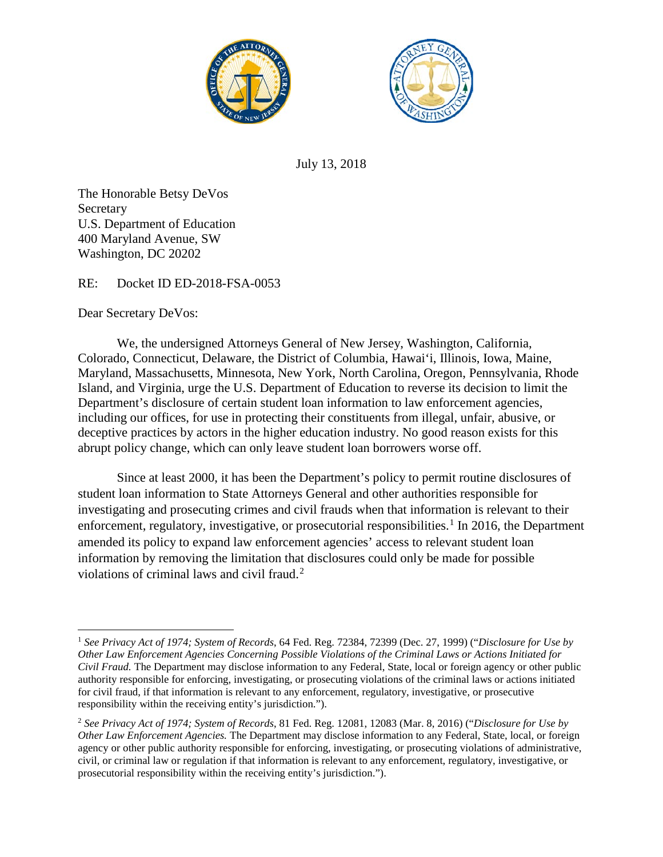



July 13, 2018

The Honorable Betsy DeVos Secretary U.S. Department of Education 400 Maryland Avenue, SW Washington, DC 20202

RE: Docket ID ED-2018-FSA-0053

Dear Secretary DeVos:

We, the undersigned Attorneys General of New Jersey, Washington, California, Colorado, Connecticut, Delaware, the District of Columbia, Hawai'i, Illinois, Iowa, Maine, Maryland, Massachusetts, Minnesota, New York, North Carolina, Oregon, Pennsylvania, Rhode Island, and Virginia, urge the U.S. Department of Education to reverse its decision to limit the Department's disclosure of certain student loan information to law enforcement agencies, including our offices, for use in protecting their constituents from illegal, unfair, abusive, or deceptive practices by actors in the higher education industry. No good reason exists for this abrupt policy change, which can only leave student loan borrowers worse off.

Since at least 2000, it has been the Department's policy to permit routine disclosures of student loan information to State Attorneys General and other authorities responsible for investigating and prosecuting crimes and civil frauds when that information is relevant to their enforcement, regulatory, investigative, or prosecutorial responsibilities.<sup>[1](#page-0-0)</sup> In 2016, the Department amended its policy to expand law enforcement agencies' access to relevant student loan information by removing the limitation that disclosures could only be made for possible violations of criminal laws and civil fraud.<sup>[2](#page-0-1)</sup>

<span id="page-0-0"></span> $\overline{\phantom{a}}$ <sup>1</sup> *See Privacy Act of 1974; System of Records*, 64 Fed. Reg. 72384, 72399 (Dec. 27, 1999) ("*Disclosure for Use by Other Law Enforcement Agencies Concerning Possible Violations of the Criminal Laws or Actions Initiated for Civil Fraud.* The Department may disclose information to any Federal, State, local or foreign agency or other public authority responsible for enforcing, investigating, or prosecuting violations of the criminal laws or actions initiated for civil fraud, if that information is relevant to any enforcement, regulatory, investigative, or prosecutive responsibility within the receiving entity's jurisdiction.").

<span id="page-0-1"></span><sup>2</sup> *See Privacy Act of 1974; System of Records*, 81 Fed. Reg. 12081, 12083 (Mar. 8, 2016) ("*Disclosure for Use by Other Law Enforcement Agencies.* The Department may disclose information to any Federal, State, local, or foreign agency or other public authority responsible for enforcing, investigating, or prosecuting violations of administrative, civil, or criminal law or regulation if that information is relevant to any enforcement, regulatory, investigative, or prosecutorial responsibility within the receiving entity's jurisdiction.").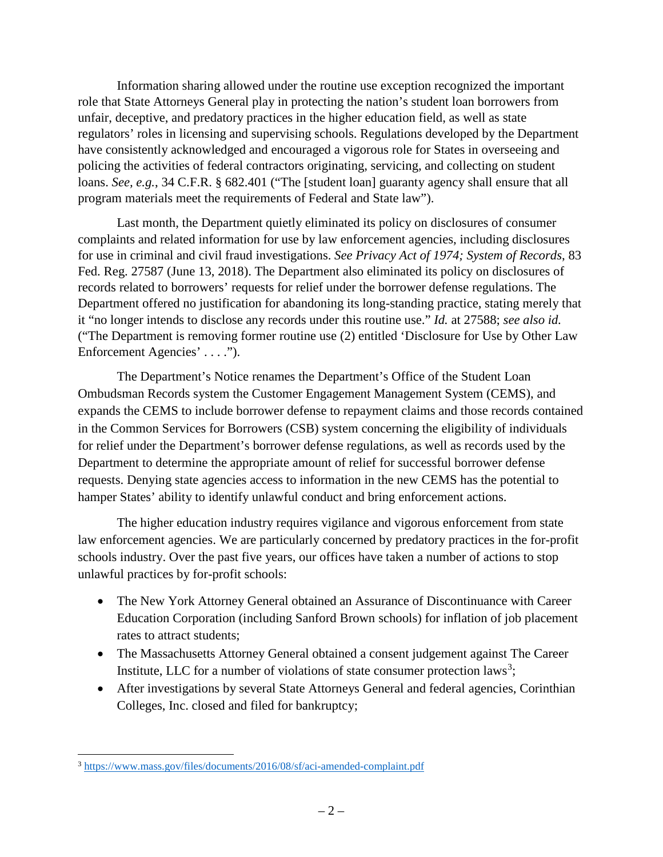Information sharing allowed under the routine use exception recognized the important role that State Attorneys General play in protecting the nation's student loan borrowers from unfair, deceptive, and predatory practices in the higher education field, as well as state regulators' roles in licensing and supervising schools. Regulations developed by the Department have consistently acknowledged and encouraged a vigorous role for States in overseeing and policing the activities of federal contractors originating, servicing, and collecting on student loans. *See, e.g.*, 34 C.F.R. § 682.401 ("The [student loan] guaranty agency shall ensure that all program materials meet the requirements of Federal and State law").

Last month, the Department quietly eliminated its policy on disclosures of consumer complaints and related information for use by law enforcement agencies, including disclosures for use in criminal and civil fraud investigations. *See Privacy Act of 1974; System of Records*, 83 Fed. Reg. 27587 (June 13, 2018). The Department also eliminated its policy on disclosures of records related to borrowers' requests for relief under the borrower defense regulations. The Department offered no justification for abandoning its long-standing practice, stating merely that it "no longer intends to disclose any records under this routine use." *Id.* at 27588; *see also id.* ("The Department is removing former routine use (2) entitled 'Disclosure for Use by Other Law Enforcement Agencies' . . . .").

The Department's Notice renames the Department's Office of the Student Loan Ombudsman Records system the Customer Engagement Management System (CEMS), and expands the CEMS to include borrower defense to repayment claims and those records contained in the Common Services for Borrowers (CSB) system concerning the eligibility of individuals for relief under the Department's borrower defense regulations, as well as records used by the Department to determine the appropriate amount of relief for successful borrower defense requests. Denying state agencies access to information in the new CEMS has the potential to hamper States' ability to identify unlawful conduct and bring enforcement actions.

The higher education industry requires vigilance and vigorous enforcement from state law enforcement agencies. We are particularly concerned by predatory practices in the for-profit schools industry. Over the past five years, our offices have taken a number of actions to stop unlawful practices by for-profit schools:

- The New York Attorney General obtained an Assurance of Discontinuance with Career Education Corporation (including Sanford Brown schools) for inflation of job placement rates to attract students;
- The Massachusetts Attorney General obtained a consent judgement against The Career Institute, LLC for a number of violations of state consumer protection laws<sup>[3](#page-1-0)</sup>;
- After investigations by several State Attorneys General and federal agencies, Corinthian Colleges, Inc. closed and filed for bankruptcy;

<span id="page-1-0"></span>l <sup>3</sup> <https://www.mass.gov/files/documents/2016/08/sf/aci-amended-complaint.pdf>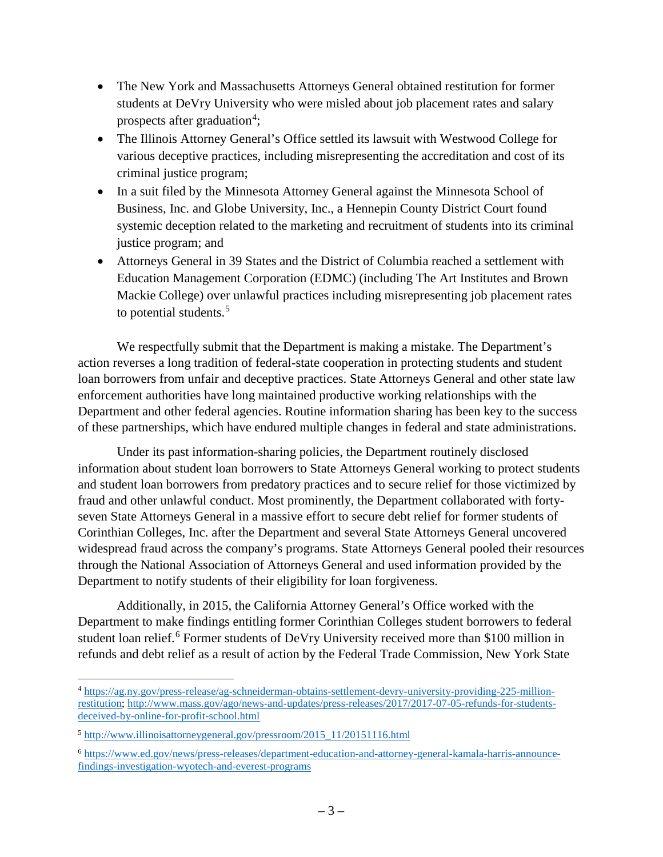- The New York and Massachusetts Attorneys General obtained restitution for former students at DeVry University who were misled about job placement rates and salary prospects after graduation<sup>[4](#page-2-0)</sup>;
- The Illinois Attorney General's Office settled its lawsuit with Westwood College for various deceptive practices, including misrepresenting the accreditation and cost of its criminal justice program;
- In a suit filed by the Minnesota Attorney General against the Minnesota School of Business, Inc. and Globe University, Inc., a Hennepin County District Court found systemic deception related to the marketing and recruitment of students into its criminal justice program; and
- Attorneys General in 39 States and the District of Columbia reached a settlement with Education Management Corporation (EDMC) (including The Art Institutes and Brown Mackie College) over unlawful practices including misrepresenting job placement rates to potential students.<sup>[5](#page-2-1)</sup>

We respectfully submit that the Department is making a mistake. The Department's action reverses a long tradition of federal-state cooperation in protecting students and student loan borrowers from unfair and deceptive practices. State Attorneys General and other state law enforcement authorities have long maintained productive working relationships with the Department and other federal agencies. Routine information sharing has been key to the success of these partnerships, which have endured multiple changes in federal and state administrations.

Under its past information-sharing policies, the Department routinely disclosed information about student loan borrowers to State Attorneys General working to protect students and student loan borrowers from predatory practices and to secure relief for those victimized by fraud and other unlawful conduct. Most prominently, the Department collaborated with fortyseven State Attorneys General in a massive effort to secure debt relief for former students of Corinthian Colleges, Inc. after the Department and several State Attorneys General uncovered widespread fraud across the company's programs. State Attorneys General pooled their resources through the National Association of Attorneys General and used information provided by the Department to notify students of their eligibility for loan forgiveness.

Additionally, in 2015, the California Attorney General's Office worked with the Department to make findings entitling former Corinthian Colleges student borrowers to federal student loan relief.<sup>[6](#page-2-2)</sup> Former students of DeVry University received more than \$100 million in refunds and debt relief as a result of action by the Federal Trade Commission, New York State

<span id="page-2-0"></span> $\overline{a}$ <sup>4</sup> [https://ag.ny.gov/press-release/ag-schneiderman-obtains-settlement-devry-university-providing-225-million](https://ag.ny.gov/press-release/ag-schneiderman-obtains-settlement-devry-university-providing-225-million-restitution)[restitution;](https://ag.ny.gov/press-release/ag-schneiderman-obtains-settlement-devry-university-providing-225-million-restitution) [http://www.mass.gov/ago/news-and-updates/press-releases/2017/2017-07-05-refunds-for-students](http://www.mass.gov/ago/news-and-updates/press-releases/2017/2017-07-05-refunds-for-students-deceived-by-online-for-profit-school.html)[deceived-by-online-for-profit-school.html](http://www.mass.gov/ago/news-and-updates/press-releases/2017/2017-07-05-refunds-for-students-deceived-by-online-for-profit-school.html)

<span id="page-2-1"></span><sup>5</sup> [http://www.illinoisattorneygeneral.gov/pressroom/2015\\_11/20151116.html](http://www.illinoisattorneygeneral.gov/pressroom/2015_11/20151116.html)

<span id="page-2-2"></span><sup>6</sup> [https://www.ed.gov/news/press-releases/department-education-and-attorney-general-kamala-harris-announce](https://www.ed.gov/news/press-releases/department-education-and-attorney-general-kamala-harris-announce-findings-investigation-wyotech-and-everest-programs)[findings-investigation-wyotech-and-everest-programs](https://www.ed.gov/news/press-releases/department-education-and-attorney-general-kamala-harris-announce-findings-investigation-wyotech-and-everest-programs)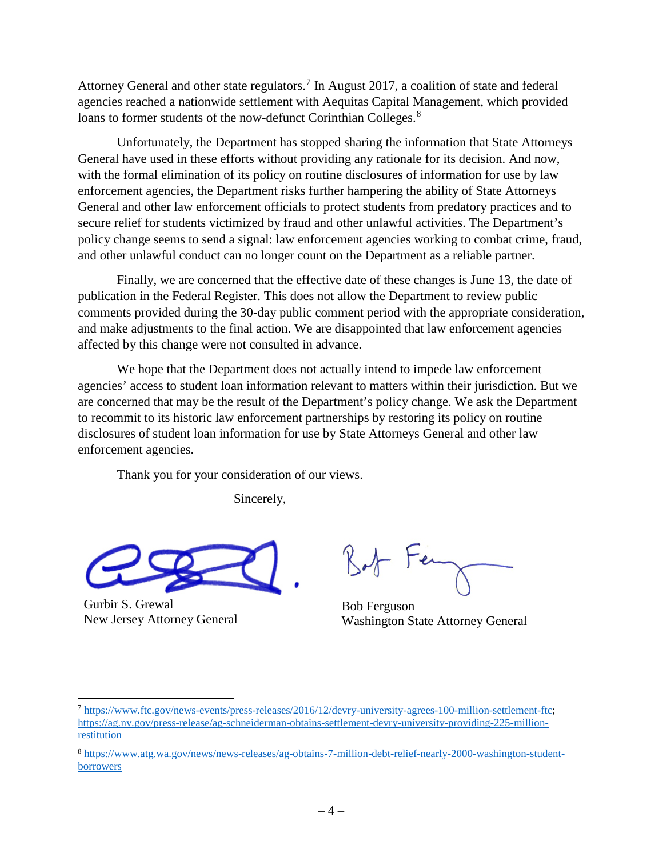Attorney General and other state regulators.<sup>[7](#page-3-0)</sup> In August 2017, a coalition of state and federal agencies reached a nationwide settlement with Aequitas Capital Management, which provided loans to former students of the now-defunct Corinthian Colleges.<sup>[8](#page-3-1)</sup>

Unfortunately, the Department has stopped sharing the information that State Attorneys General have used in these efforts without providing any rationale for its decision. And now, with the formal elimination of its policy on routine disclosures of information for use by law enforcement agencies, the Department risks further hampering the ability of State Attorneys General and other law enforcement officials to protect students from predatory practices and to secure relief for students victimized by fraud and other unlawful activities. The Department's policy change seems to send a signal: law enforcement agencies working to combat crime, fraud, and other unlawful conduct can no longer count on the Department as a reliable partner.

Finally, we are concerned that the effective date of these changes is June 13, the date of publication in the Federal Register. This does not allow the Department to review public comments provided during the 30-day public comment period with the appropriate consideration, and make adjustments to the final action. We are disappointed that law enforcement agencies affected by this change were not consulted in advance.

We hope that the Department does not actually intend to impede law enforcement agencies' access to student loan information relevant to matters within their jurisdiction. But we are concerned that may be the result of the Department's policy change. We ask the Department to recommit to its historic law enforcement partnerships by restoring its policy on routine disclosures of student loan information for use by State Attorneys General and other law enforcement agencies.

Thank you for your consideration of our views.

Sincerely,



Gurbir S. Grewal New Jersey Attorney General

 $\overline{\phantom{a}}$ 

Bob Ferguson Washington State Attorney General

<span id="page-3-0"></span><sup>7</sup> [https://www.ftc.gov/news-events/press-releases/2016/12/devry-university-agrees-100-million-settlement-ftc;](https://www.ftc.gov/news-events/press-releases/2016/12/devry-university-agrees-100-million-settlement-ftc)  [https://ag.ny.gov/press-release/ag-schneiderman-obtains-settlement-devry-university-providing-225-million](https://ag.ny.gov/press-release/ag-schneiderman-obtains-settlement-devry-university-providing-225-million-restitution)[restitution](https://ag.ny.gov/press-release/ag-schneiderman-obtains-settlement-devry-university-providing-225-million-restitution)

<span id="page-3-1"></span><sup>8</sup> [https://www.atg.wa.gov/news/news-releases/ag-obtains-7-million-debt-relief-nearly-2000-washington-student](https://www.atg.wa.gov/news/news-releases/ag-obtains-7-million-debt-relief-nearly-2000-washington-student-borrowers)[borrowers](https://www.atg.wa.gov/news/news-releases/ag-obtains-7-million-debt-relief-nearly-2000-washington-student-borrowers)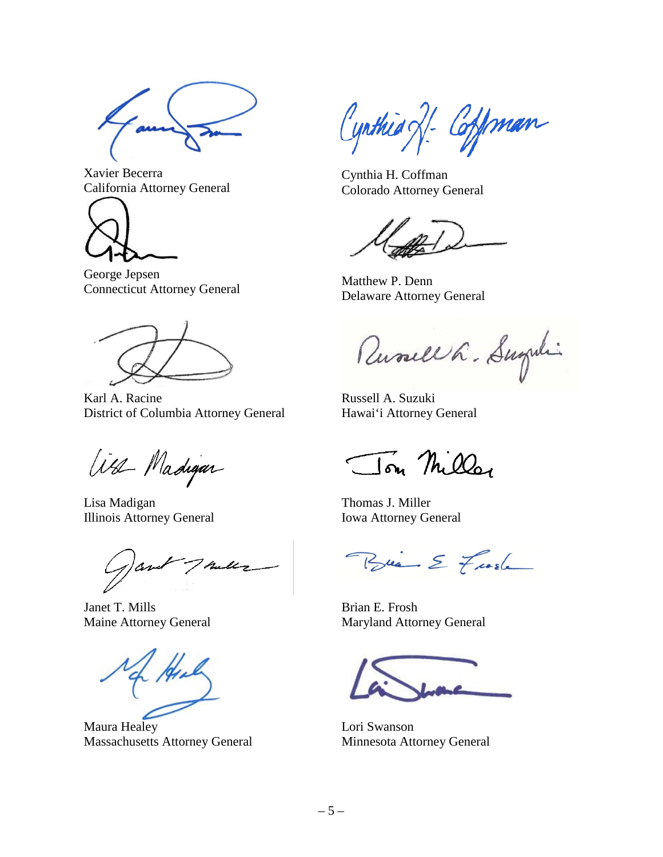Xavier Becerra California Attorney General



George Jepsen Connecticut Attorney General

Karl A. Racine District of Columbia Attorney General

Was Madigar

Lisa Madigan Illinois Attorney General

Talls

Janet T. Mills Maine Attorney General

Maura Healey Massachusetts Attorney General

Cynthia XI Coffman

Cynthia H. Coffman Colorado Attorney General

Matthew P. Denn Delaware Attorney General

Russell L. Sugini

Russell A. Suzuki Hawai'i Attorney General

Tom Miller

Thomas J. Miller Iowa Attorney General

Brian E Frash

Brian E. Frosh Maryland Attorney General

Lori Swanson Minnesota Attorney General